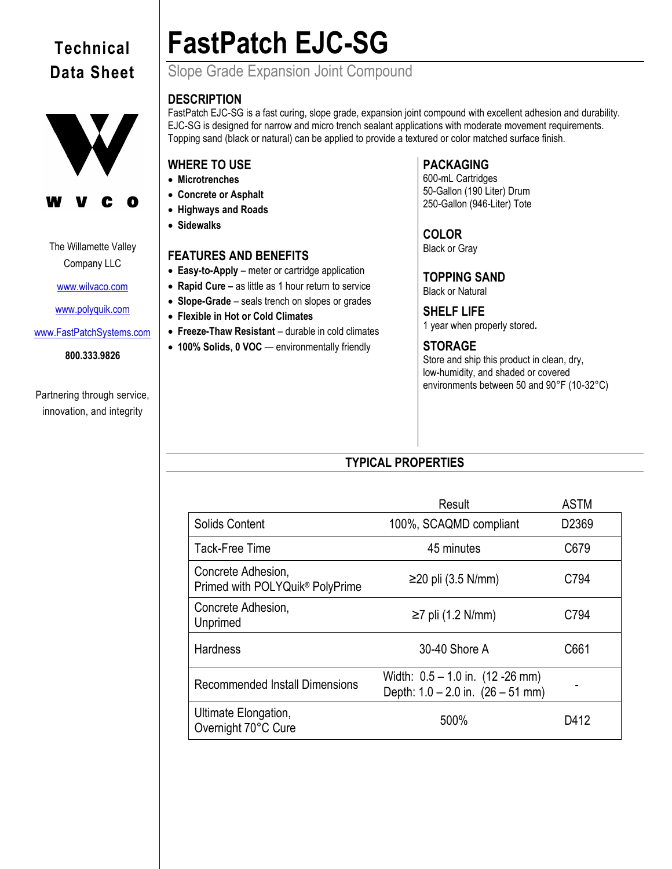## **Technical Data Sheet**





The Willamette Valley Company LLC

[www.wilvaco.com](http://www.wilvaco.com/)

[www.polyquik.com](http://www.polyquik.com/)

[www.FastPatchSystems.com](http://www.fastpatchsystems.com/)

**800.333.9826**

Partnering through service, innovation, and integrity

# **FastPatch EJC-SG**

Slope Grade Expansion Joint Compound

## **DESCRIPTION**

FastPatch EJC-SG is a fast curing, slope grade, expansion joint compound with excellent adhesion and durability. EJC-SG is designed for narrow and micro trench sealant applications with moderate movement requirements. Topping sand (black or natural) can be applied to provide a textured or color matched surface finish.

## **WHERE TO USE**

- **Microtrenches**
- **Concrete or Asphalt**
- **Highways and Roads**
- **Sidewalks**

## **FEATURES AND BENEFITS**

- **Easy-to-Apply** meter or cartridge application
- **Rapid Cure –** as little as 1 hour return to service
- **Slope-Grade** seals trench on slopes or grades
- **Flexible in Hot or Cold Climates**
- **Freeze-Thaw Resistant** durable in cold climates
- **100% Solids, 0 VOC** environmentally friendly

## **PACKAGING**

600-mL Cartridges 50-Gallon (190 Liter) Drum 250-Gallon (946-Liter) Tote

## **COLOR**

Black or Gray

**TOPPING SAND** Black or Natural

**SHELF LIFE** 1 year when properly stored**.**

## **STORAGE**

Store and ship this product in clean, dry, low-humidity, and shaded or covered environments between 50 and 90°F (10-32°C)

## **TYPICAL PROPERTIES**

|                                                                   | Result                                                                      | <b>ASTM</b>       |
|-------------------------------------------------------------------|-----------------------------------------------------------------------------|-------------------|
| Solids Content                                                    | 100%, SCAQMD compliant                                                      | D <sub>2369</sub> |
| Tack-Free Time                                                    | 45 minutes                                                                  | C679              |
| Concrete Adhesion,<br>Primed with POLYQuik <sup>®</sup> PolyPrime | $≥20$ pli (3.5 N/mm)                                                        | C794              |
| Concrete Adhesion,<br>Unprimed                                    | $\geq$ 7 pli (1.2 N/mm)                                                     | C794              |
| <b>Hardness</b>                                                   | 30-40 Shore A                                                               | C661              |
| <b>Recommended Install Dimensions</b>                             | Width: $0.5 - 1.0$ in. (12 -26 mm)<br>Depth: $1.0 - 2.0$ in. $(26 - 51$ mm) |                   |
| Ultimate Elongation,<br>Overnight 70°C Cure                       | 500%                                                                        | D412              |